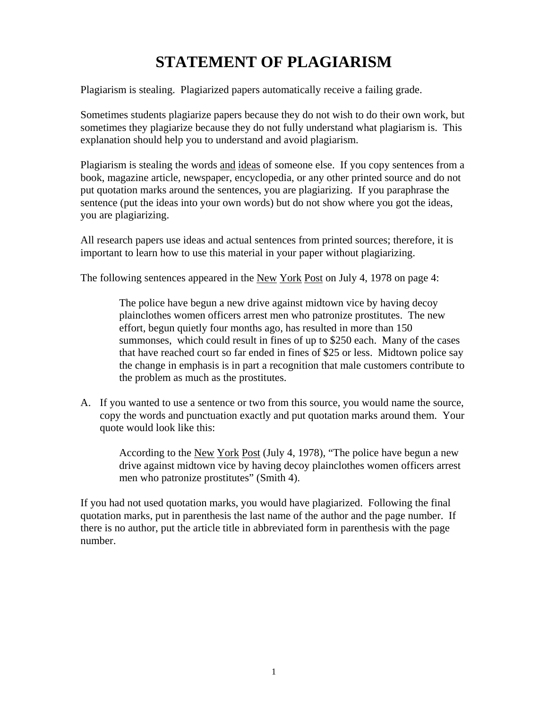## **STATEMENT OF PLAGIARISM**

Plagiarism is stealing. Plagiarized papers automatically receive a failing grade.

Sometimes students plagiarize papers because they do not wish to do their own work, but sometimes they plagiarize because they do not fully understand what plagiarism is. This explanation should help you to understand and avoid plagiarism.

Plagiarism is stealing the words and ideas of someone else. If you copy sentences from a book, magazine article, newspaper, encyclopedia, or any other printed source and do not put quotation marks around the sentences, you are plagiarizing. If you paraphrase the sentence (put the ideas into your own words) but do not show where you got the ideas, you are plagiarizing.

All research papers use ideas and actual sentences from printed sources; therefore, it is important to learn how to use this material in your paper without plagiarizing.

The following sentences appeared in the New York Post on July 4, 1978 on page 4:

The police have begun a new drive against midtown vice by having decoy plainclothes women officers arrest men who patronize prostitutes. The new effort, begun quietly four months ago, has resulted in more than 150 summonses, which could result in fines of up to \$250 each. Many of the cases that have reached court so far ended in fines of \$25 or less. Midtown police say the change in emphasis is in part a recognition that male customers contribute to the problem as much as the prostitutes.

A. If you wanted to use a sentence or two from this source, you would name the source, copy the words and punctuation exactly and put quotation marks around them. Your quote would look like this:

According to the New York Post (July 4, 1978), "The police have begun a new drive against midtown vice by having decoy plainclothes women officers arrest men who patronize prostitutes" (Smith 4).

If you had not used quotation marks, you would have plagiarized. Following the final quotation marks, put in parenthesis the last name of the author and the page number. If there is no author, put the article title in abbreviated form in parenthesis with the page number.